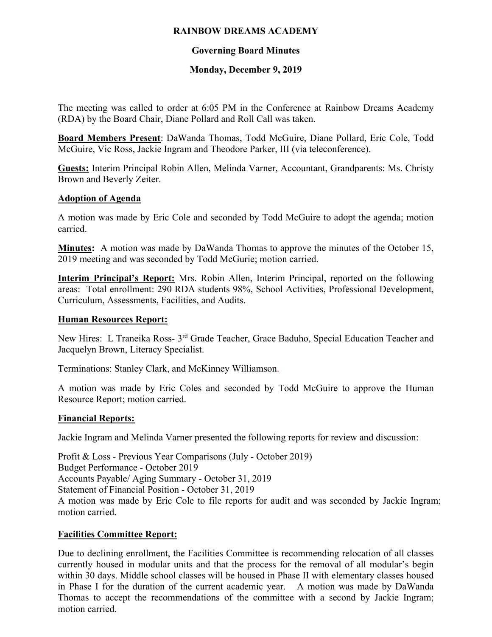## **RAINBOW DREAMS ACADEMY**

# **Governing Board Minutes**

## **Monday, December 9, 2019**

The meeting was called to order at 6:05 PM in the Conference at Rainbow Dreams Academy (RDA) by the Board Chair, Diane Pollard and Roll Call was taken.

**Board Members Present**: DaWanda Thomas, Todd McGuire, Diane Pollard, Eric Cole, Todd McGuire, Vic Ross, Jackie Ingram and Theodore Parker, III (via teleconference).

**Guests:** Interim Principal Robin Allen, Melinda Varner, Accountant, Grandparents: Ms. Christy Brown and Beverly Zeiter.

#### **Adoption of Agenda**

A motion was made by Eric Cole and seconded by Todd McGuire to adopt the agenda; motion carried.

**Minutes:** A motion was made by DaWanda Thomas to approve the minutes of the October 15, 2019 meeting and was seconded by Todd McGurie; motion carried.

**Interim Principal's Report:** Mrs. Robin Allen, Interim Principal, reported on the following areas: Total enrollment: 290 RDA students 98%, School Activities, Professional Development, Curriculum, Assessments, Facilities, and Audits.

## **Human Resources Report:**

New Hires: L Traneika Ross- 3<sup>rd</sup> Grade Teacher, Grace Baduho, Special Education Teacher and Jacquelyn Brown, Literacy Specialist.

Terminations: Stanley Clark, and McKinney Williamson.

A motion was made by Eric Coles and seconded by Todd McGuire to approve the Human Resource Report; motion carried.

#### **Financial Reports:**

Jackie Ingram and Melinda Varner presented the following reports for review and discussion:

Profit & Loss - Previous Year Comparisons (July - October 2019) Budget Performance - October 2019 Accounts Payable/ Aging Summary - October 31, 2019 Statement of Financial Position - October 31, 2019 A motion was made by Eric Cole to file reports for audit and was seconded by Jackie Ingram; motion carried.

#### **Facilities Committee Report:**

Due to declining enrollment, the Facilities Committee is recommending relocation of all classes currently housed in modular units and that the process for the removal of all modular's begin within 30 days. Middle school classes will be housed in Phase II with elementary classes housed in Phase I for the duration of the current academic year. A motion was made by DaWanda Thomas to accept the recommendations of the committee with a second by Jackie Ingram; motion carried.